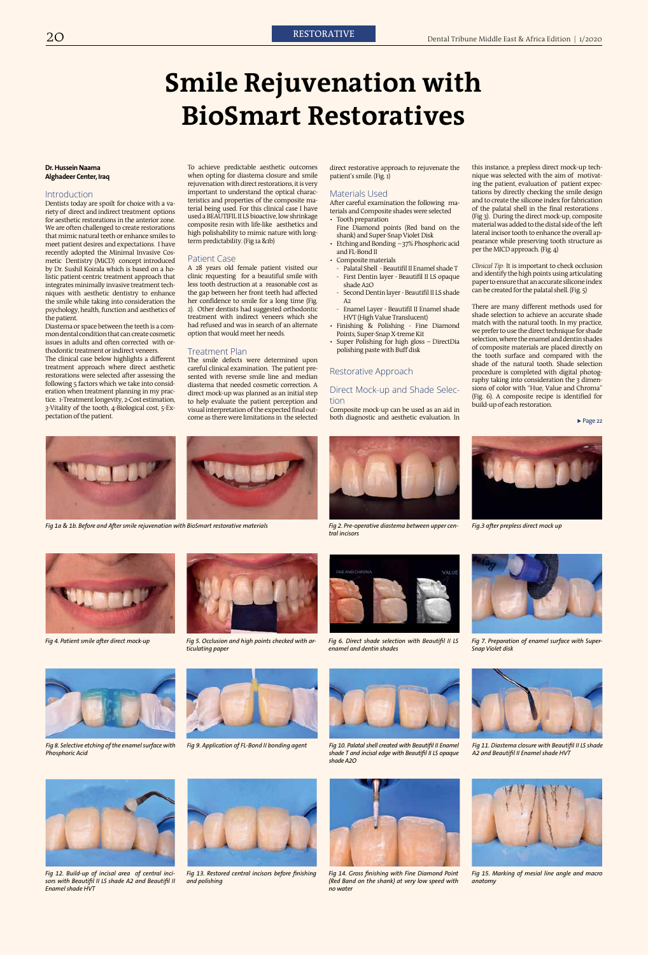# **Smile Rejuvenation with BioSmart Restoratives**

#### **Dr. Hussein Naama Alghadeer Center, Iraq**

#### Introduction

Dentists today are spoilt for choice with a variety of direct and indirect treatment options for aesthetic restorations in the anterior zone. We are often challenged to create restorations that mimic natural teeth or enhance smiles to meet patient desires and expectations. I have recently adopted the Minimal Invasive Cosmetic Dentistry (MiCD) concept introduced by Dr. Sushil Koirala which is based on a holistic patient-centric treatment approach that integrates minimally invasive treatment techniques with aesthetic dentistry to enhance the smile while taking into consideration the psychology, health, function and aesthetics of the patient.

Diastema or space between the teeth is a common dental condition that can create cosmetic issues in adults and often corrected with orthodontic treatment or indirect veneers.

The clinical case below highlights a different treatment approach where direct aesthetic restorations were selected after assessing the following 5 factors which we take into consideration when treatment planning in my practice. 1-Treatment longevity, 2-Cost estimation, 3-Vitality of the tooth, 4-Biological cost, 5-Expectation of the patient.

To achieve predictable aesthetic outcomes when opting for diastema closure and smile rejuvenation with direct restorations, it is very important to understand the optical characteristics and properties of the composite material being used. For this clinical case I have used a BEAUTIFIL II LS bioactive, low shrinkage composite resin with life-like aesthetics and high polishability to mimic nature with longterm predictability. (Fig 1a &1b)

### Patient Case

A 28 years old female patient visited our clinic requesting for a beautiful smile with less tooth destruction at a reasonable cost as the gap between her front teeth had affected her confidence to smile for a long time (Fig. 2). Other dentists had suggested orthodontic treatment with indirect veneers which she had refused and was in search of an alternate option that would meet her needs.

Fig 9. Application of FL-Bond II bonding agent Fig 10. Palatal shell created with Beautifil II Enamel *shade T and incisal edge with Beautifil II LS opaque shade A2O*

#### Treatment Plan

The smile defects were determined upon careful clinical examination. The patient presented with reverse smile line and median diastema that needed cosmetic correction. A direct mock-up was planned as an initial step to help evaluate the patient perception and visual interpretation of the expected final outcome as there were limitations in the selected direct restorative approach to rejuvenate the patient's smile. (Fig. 1)

#### Materials Used

After careful examination the following materials and Composite shades were selected • Tooth preparation

- Fine Diamond points (Red band on the shank) and Super-Snap Violet Disk
- Etching and Bonding 37% Phosphoric acid and FL-Bond II
- Composite materials
- Palatal Shell Beautifil II Enamel shade T - First Dentin layer - Beautifil II LS opaque shade A2O
- Second Dentin layer Beautifil II LS shade A2
- Enamel Layer Beautifil II Enamel shade HVT (High Value Translucent)
- Finishing & Polishing Fine Diamond Points, Super-Snap X-treme Kit
- Super Polishing for high gloss DirectDia polishing paste with Buff disk

## Restorative Approach

### Direct Mock-up and Shade Selection

Composite mock-up can be used as an aid in both diagnostic and aesthetic evaluation. In



*Fig 1a & 1b. Before and After smile rejuvenation with BioSmart restorative materials Fig 2. Pre-operative diastema between upper cen-*





*tral incisors* 









*Fig 4. Patient smile after direct mock-up Fig 5. Occlusion and high points checked with articulating paper*



*Fig 6. Direct shade selection with Beautifil II LS enamel and dentin shades*



*Fig 7. Preparation of enamel surface with Super-Snap Violet disk*



*Fig 8. Selective etching of the enamel surface with* 

*Phosphoric Acid*





*Fig 11. Diastema closure with Beautifil II LS shade A2 and Beautifil II Enamel shade HVT*



*Fig 12. Build-up of incisal area of central incisors with Beautifil II LS shade A2 and Beautifil II Enamel shade HVT*



*Fig 13. Restored central incisors before finishing and polishing* 



*Fig 14. Gross finishing with Fine Diamond Point (Red Band on the shank) at very low speed with no water* 



*Fig 15. Marking of mesial line angle and macro anatomy*



*Clinical Tip:* It is important to check occlusion and identify the high points using articulating paper to ensure that an accurate silicone index can be created for the palatal shell. (Fig. 5)

There are many different methods used for shade selection to achieve an accurate shade match with the natural tooth. In my practice, we prefer to use the direct technique for shade selection, where the enamel and dentin shades of composite materials are placed directly on the tooth surface and compared with the shade of the natural tooth. Shade selection procedure is completed with digital photography taking into consideration the 3 dimensions of color with "Hue, Value and Chroma" (Fig. 6). A composite recipe is identified for build-up of each restoration.

 $\blacktriangleright$  Page 22